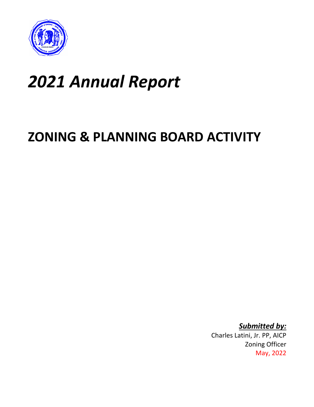

# *2021 Annual Report*

## **ZONING & PLANNING BOARD ACTIVITY**

*Submitted by:* Charles Latini, Jr. PP, AICP Zoning Officer May, 2022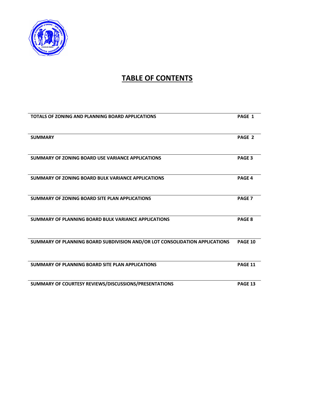

## **TABLE OF CONTENTS**

| TOTALS OF ZONING AND PLANNING BOARD APPLICATIONS                            | PAGE 1            |
|-----------------------------------------------------------------------------|-------------------|
|                                                                             |                   |
| <b>SUMMARY</b>                                                              | PAGE 2            |
|                                                                             |                   |
| SUMMARY OF ZONING BOARD USE VARIANCE APPLICATIONS                           | PAGE <sub>3</sub> |
|                                                                             |                   |
| <b>SUMMARY OF ZONING BOARD BULK VARIANCE APPLICATIONS</b>                   | <b>PAGE 4</b>     |
|                                                                             |                   |
| SUMMARY OF ZONING BOARD SITE PLAN APPLICATIONS                              | <b>PAGE 7</b>     |
|                                                                             |                   |
| SUMMARY OF PLANNING BOARD BULK VARIANCE APPLICATIONS                        | PAGE 8            |
|                                                                             |                   |
| SUMMARY OF PLANNING BOARD SUBDIVISION AND/OR LOT CONSOLIDATION APPLICATIONS | <b>PAGE 10</b>    |
|                                                                             |                   |
| SUMMARY OF PLANNING BOARD SITE PLAN APPLICATIONS                            | PAGE 11           |
|                                                                             |                   |
| SUMMARY OF COURTESY REVIEWS/DISCUSSIONS/PRESENTATIONS                       | PAGE 13           |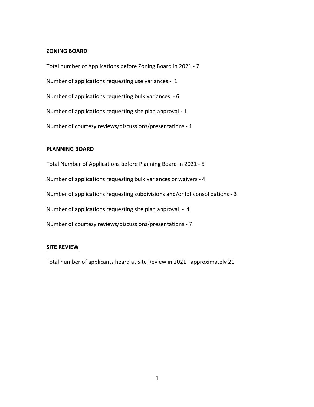### **ZONING BOARD**

Total number of Applications before Zoning Board in 2021 - 7 Number of applications requesting use variances - 1 Number of applications requesting bulk variances - 6 Number of applications requesting site plan approval - 1 Number of courtesy reviews/discussions/presentations - 1

### **PLANNING BOARD**

Total Number of Applications before Planning Board in 2021 - 5 Number of applications requesting bulk variances or waivers - 4 Number of applications requesting subdivisions and/or lot consolidations - 3 Number of applications requesting site plan approval - 4 Number of courtesy reviews/discussions/presentations - 7

### **SITE REVIEW**

Total number of applicants heard at Site Review in 2021– approximately 21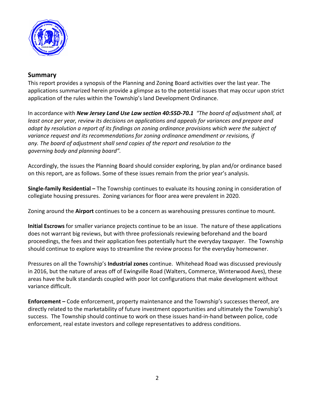

### **Summary**

This report provides a synopsis of the Planning and Zoning Board activities over the last year. The applications summarized herein provide a glimpse as to the potential issues that may occur upon strict application of the rules within the Township's land Development Ordinance.

In accordance with *New Jersey Land Use Law section 40:55D-70.1 "The board of adjustment shall, at least once per year, review its decisions on applications and appeals for variances and prepare and adopt by resolution a report of its findings on zoning ordinance provisions which were the subject of variance request and its recommendations for zoning ordinance amendment or revisions, if any. The board of adjustment shall send copies of the report and resolution to the governing body and planning board".*

Accordingly, the issues the Planning Board should consider exploring, by plan and/or ordinance based on this report, are as follows. Some of these issues remain from the prior year's analysis.

**Single-family Residential –** The Township continues to evaluate its housing zoning in consideration of collegiate housing pressures. Zoning variances for floor area were prevalent in 2020.

Zoning around the **Airport** continues to be a concern as warehousing pressures continue to mount.

**Initial Escrows** for smaller variance projects continue to be an issue. The nature of these applications does not warrant big reviews, but with three professionals reviewing beforehand and the board proceedings, the fees and their application fees potentially hurt the everyday taxpayer. The Township should continue to explore ways to streamline the review process for the everyday homeowner.

Pressures on all the Township's **Industrial zones** continue. Whitehead Road was discussed previously in 2016, but the nature of areas off of Ewingville Road (Walters, Commerce, Winterwood Aves), these areas have the bulk standards coupled with poor lot configurations that make development without variance difficult.

**Enforcement –** Code enforcement, property maintenance and the Township's successes thereof, are directly related to the marketability of future investment opportunities and ultimately the Township's success. The Township should continue to work on these issues hand-in-hand between police, code enforcement, real estate investors and college representatives to address conditions.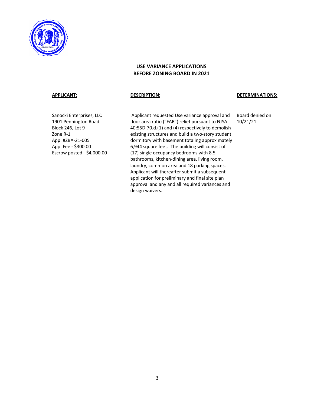

### **USE VARIANCE APPLICATIONS BEFORE ZONING BOARD IN 2021**

### **APPLICANT: DESCRIPTION: DETERMINATIONS:**

Sanocki Enterprises, LLC 1901 Pennington Road Block 246, Lot 9 Zone R-1 App. #ZBA-21-005 App. Fee - \$300.00 Escrow posted - \$4,000.00

Applicant requested Use variance approval and floor area ratio ("FAR") relief pursuant to NJSA 40:55D-70.d.(1) and (4) respectively to demolish existing structures and build a two-story student dormitory with basement totaling approximately 6,944 square feet. The building will consist of (17) single occupancy bedrooms with 8.5 bathrooms, kitchen-dining area, living room, laundry, common area and 18 parking spaces. Applicant will thereafter submit a subsequent application for preliminary and final site plan approval and any and all required variances and design waivers.

Board denied on 10/21/21.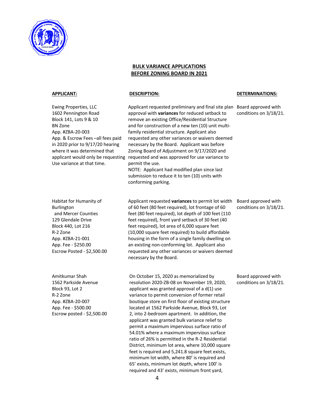

### **BULK VARIANCE APPLICATIONS BEFORE ZONING BOARD IN 2021**

BN Zone

Ewing Properties, LLC 1602 Pennington Road Block 141, Lots 9 & 10

App. #ZBA-20-003

App. & Escrow Fees –all fees paid in 2020 prior to 9/17/20 hearing where it was determined that

Use variance at that time.

applicant would only be requesting Applicant requested preliminary and final site plan Board approved with approval with **variances** for reduced setback to remove an existing Office/Residential Structure and for construction of a new ten (10) unit multifamily residential structure. Applicant also requested any other variances or waivers deemed necessary by the Board. Applicant was before Zoning Board of Adjustment on 9/17/2020 and requested and was approved for use variance to permit the use. NOTE: Applicant had modified plan since last

submission to reduce it to ten (10) units with conforming parking.

### **APPLICANT: DESCRIPTION: DETERMINATIONS:**

conditions on 3/18/21.

Board approved with conditions on 3/18/21.

Board approved with conditions on 3/18/21.

Habitat for Humanity of Burlington and Mercer Counties 129 Glendale Drive Block 440, Lot 216 R-2 Zone App. #ZBA-21-001 App. Fee - \$250.00 Escrow Posted - \$2,500.00

Applicant requested **variances** to permit lot width of 60 feet (80 feet required), lot frontage of 60 feet (80 feet required), lot depth of 100 feet (110 feet required), front yard setback of 30 feet (40 feet required), lot area of 6,000 square feet (10,000 square feet required) to build affordable housing in the form of a single family dwelling on an existing non-conforming lot. Applicant also requested any other variances or waivers deemed necessary by the Board.

Amitkumar Shah 1562 Parkside Avenue Block 93, Lot 2 R-2 Zone App. #ZBA-20-007 App. Fee - \$500.00 Escrow posted - \$2,500.00 On October 15, 2020 as memorialized by resolution 2020-ZB-08 on November 19, 2020, applicant was granted approval of a  $d(1)$  use variance to permit conversion of former retail boutique store on first floor of existing structure located at 1562 Parkside Avenue, Block 93, Lot 2, into 2-bedroom apartment. In addition, the applicant was granted bulk variance relief to permit a maximum impervious surface ratio of 54.01% where a maximum impervious surface ratio of 26% is permitted in the R-2 Residential District, minimum lot area, where 10,000 square feet is required and 5,241.8 square feet exists, minimum lot width, where 80' is required and 65' exists, minimum lot depth, where 100' is required and 43' exists, minimum front yard,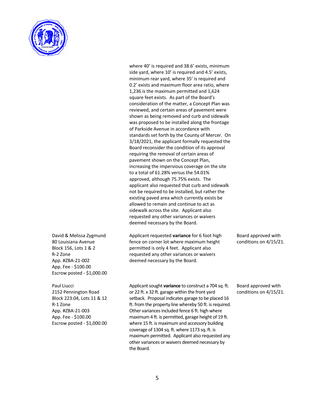

where 40' is required and 38.6' exists, minimum side yard, where 10' is required and 4.5' exists, minimum rear yard, where 35' is required and 0.2' exists and maximum floor area ratio, where 1,236 is the maximum permitted and 1,624 square feet exists. As part of the Board's consideration of the matter, a Concept Plan was reviewed, and certain areas of pavement were shown as being removed and curb and sidewalk was proposed to be installed along the frontage of Parkside Avenue in accordance with standards set forth by the County of Mercer. On 3/18/2021, the applicant formally requested the Board reconsider the condition of its approval requiring the removal of certain areas of pavement shown on the Concept Plan, increasing the impervious coverage on the site to a total of 61.28% versus the 54.01% approved, although 75.75% exists. The applicant also requested that curb and sidewalk not be required to be installed, but rather the existing paved area which currently exists be allowed to remain and continue to act as sidewalk across the site. Applicant also requested any other variances or waivers deemed necessary by the Board.

David & Melissa Zygmund

Applicant requested **variance** for 6 foot high fence on corner lot where maximum height permitted is only 4 feet. Applicant also requested any other variances or waivers deemed necessary by the Board.

Board approved with conditions on 4/15/21.

80 Louisiana Avenue Block 156, Lots 1 & 2 R-2 Zone App. #ZBA-21-002 App. Fee - \$100.00 Escrow posted - \$1,000.00

2152 Pennington Road Block 223.04, Lots 11 & 12

App. #ZBA-21-003 App. Fee - \$100.00 Escrow posted - \$1,000.00

Paul Liucci

R-1 Zone

Applicant sought **variance** to construct a 704 sq. ft. or 22 ft. x 32 ft. garage within the front yard setback. Proposal indicates garage to be placed 16 ft. from the property line whereby 50 ft. is required. Other variances included fence 6 ft. high where maximum 4 ft. is permitted, garage height of 19 ft. where 15 ft. is maximum and accessory building coverage of 1304 sq. ft. where 1173 sq. ft. is maximum permitted. Applicant also requested any other variances or waivers deemed necessary by

Board approved with conditions on 4/15/21.

the Board.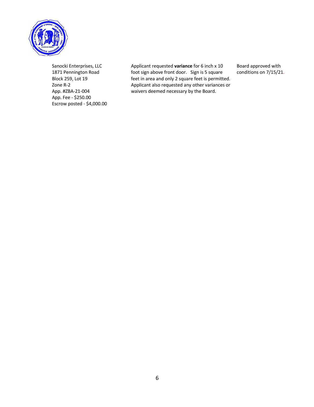

Sanocki Enterprises, LLC 1871 Pennington Road Block 259, Lot 19 Zone R-2 App. #ZBA-21-004 App. Fee - \$250.00 Escrow posted - \$4,000.00

Applicant requested **variance** for 6 inch x 10 foot sign above front door. Sign is 5 square feet in area and only 2 square feet is permitted. Applicant also requested any other variances or waivers deemed necessary by the Board.

Board approved with conditions on 7/15/21.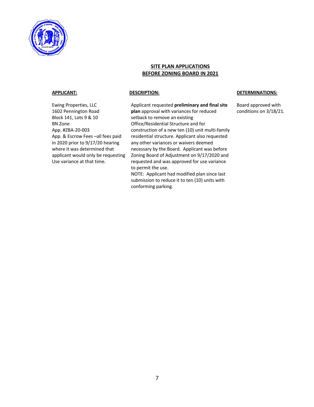

### **SITE PLAN APPLICATIONS BEFORE ZONING BOARD IN 2021**

Ewing Properties, LLC 1602 Pennington Road Block 141, Lots 9 & 10 BN Zone App. #ZBA-20-003 App. & Escrow Fees –all fees paid in 2020 prior to 9/17/20 hearing where it was determined that applicant would only be requesting Use variance at that time.

Applicant requested **preliminary and final site plan** approval with variances for reduced setback to remove an existing Office/Residential Structure and for construction of a new ten (10) unit multi-family residential structure. Applicant also requested any other variances or waivers deemed necessary by the Board. Applicant was before Zoning Board of Adjustment on 9/17/2020 and requested and was approved for use variance to permit the use.

NOTE: Applicant had modified plan since last submission to reduce it to ten (10) units with conforming parking.

### **APPLICANT: DESCRIPTION: DETERMINATIONS:**

Board approved with conditions on 3/18/21.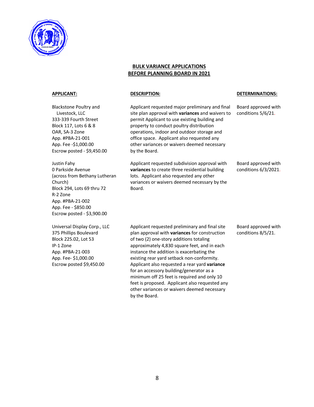

### **BULK VARIANCE APPLICATIONS BEFORE PLANNING BOARD IN 2021**

Blackstone Poultry and Livestock, LLC 333-339 Fourth Street Block 117, Lots 6 & 8 OAR, SA-3 Zone App. #PBA-21-001 App. Fee -\$1,000.00 Escrow posted - \$9,450.00

Justin Fahy 0 Parkside Avenue (across from Bethany Lutheran Church) Block 294, Lots 69 thru 72 R-2 Zone App. #PBA-21-002 App. Fee - \$850.00 Escrow posted - \$3,900.00

Universal Display Corp., LLC 375 Phillips Boulevard Block 225.02, Lot 53 IP-1 Zone App. #PBA-21-003 App. Fee- \$1,000.00 Escrow posted \$9,450.00

Applicant requested major preliminary and final site plan approval with **variances** and waivers to permit Applicant to use existing building and property to conduct poultry distribution operations, indoor and outdoor storage and office space. Applicant also requested any other variances or waivers deemed necessary by the Board.

Applicant requested subdivision approval with **variances** to create three residential building lots. Applicant also requested any other variances or waivers deemed necessary by the Board.

### **APPLICANT: DESCRIPTION: DETERMINATIONS:**

Board approved with conditions 5/6/21.

Board approved with conditions 6/3/2021.

Applicant requested preliminary and final site plan approval with **variances** for construction of two (2) one-story additions totaling approximately 4,830 square feet, and in each instance the addition is exacerbating the existing rear yard setback non-conformity. Applicant also requested a rear yard **variance** for an accessory building/generator as a minimum off 25 feet is required and only 10 feet is proposed. Applicant also requested any other variances or waivers deemed necessary by the Board.

Board approved with conditions 8/5/21.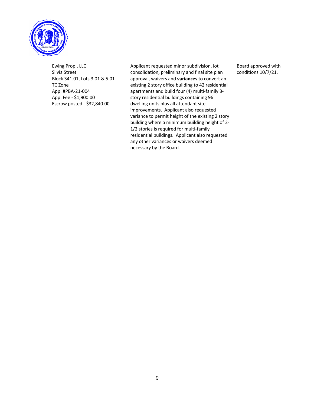

Ewing Prop., LLC Silvia Street Block 341.01, Lots 3.01 & 5.01 TC Zone App. #PBA-21-004 App. Fee - \$1,900.00 Escrow posted - \$32,840.00

Applicant requested minor subdivision, lot consolidation, preliminary and final site plan approval, waivers and **variances** to convert an existing 2 story office building to 42 residential apartments and build four (4) multi-family 3 story residential buildings containing 96 dwelling units plus all attendant site improvements. Applicant also requested variance to permit height of the existing 2 story building where a minimum building height of 2- 1/2 stories is required for multi-family residential buildings. Applicant also requested any other variances or waivers deemed necessary by the Board.

Board approved with conditions 10/7/21.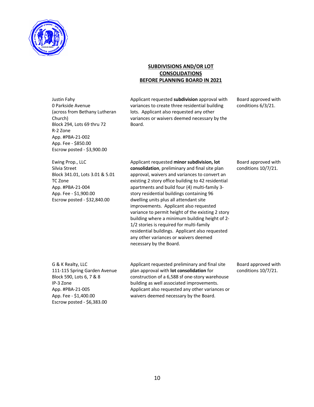

### **SUBDIVISIONS AND/OR LOT CONSOLIDATIONS BEFORE PLANNING BOARD IN 2021**

Applicant requested **subdivision** approval with

Justin Fahy 0 Parkside Avenue (across from Bethany Lutheran Church) Block 294, Lots 69 thru 72 R-2 Zone App. #PBA-21-002 App. Fee - \$850.00 Escrow posted - \$3,900.00

variances to create three residential building lots. Applicant also requested any other variances or waivers deemed necessary by the Board.

Board approved with conditions 6/3/21.

Ewing Prop., LLC Silvia Street Block 341.01, Lots 3.01 & 5.01 TC Zone App. #PBA-21-004 App. Fee - \$1,900.00 Escrow posted - \$32,840.00

Applicant requested **minor subdivision, lot consolidation**, preliminary and final site plan approval, waivers and variances to convert an existing 2 story office building to 42 residential apartments and build four (4) multi-family 3 story residential buildings containing 96 dwelling units plus all attendant site improvements. Applicant also requested variance to permit height of the existing 2 story building where a minimum building height of 2- 1/2 stories is required for multi-family residential buildings. Applicant also requested any other variances or waivers deemed necessary by the Board.

Board approved with conditions 10/7/21.

Board approved with conditions 10/7/21.

G & K Realty, LLC 111-115 Spring Garden Avenue Block 590, Lots 6, 7 & 8 IP-3 Zone App. #PBA-21-005 App. Fee - \$1,400.00 Escrow posted - \$6,383.00

Applicant requested preliminary and final site plan approval with **lot consolidation** for construction of a 6,588 sf one-story warehouse building as well associated improvements. Applicant also requested any other variances or waivers deemed necessary by the Board.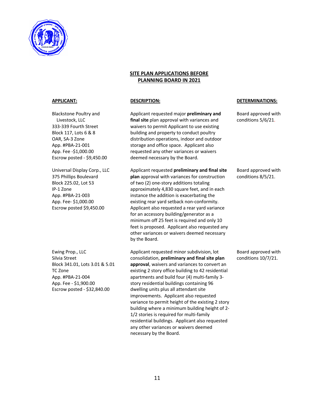

### **SITE PLAN APPLICATIONS BEFORE PLANNING BOARD IN 2021**

Blackstone Poultry and Livestock, LLC 333-339 Fourth Street Block 117, Lots 6 & 8 OAR, SA-3 Zone App. #PBA-21-001 App. Fee -\$1,000.00 Escrow posted - \$9,450.00

Universal Display Corp., LLC 375 Phillips Boulevard Block 225.02, Lot 53 IP-1 Zone App. #PBA-21-003 App. Fee- \$1,000.00 Escrow posted \$9,450.00

Ewing Prop., LLC Silvia Street Block 341.01, Lots 3.01 & 5.01 TC Zone App. #PBA-21-004 App. Fee - \$1,900.00 Escrow posted - \$32,840.00

Applicant requested major **preliminary and final site** plan approval with variances and waivers to permit Applicant to use existing building and property to conduct poultry distribution operations, indoor and outdoor storage and office space. Applicant also requested any other variances or waivers deemed necessary by the Board.

Applicant requested **preliminary and final site plan** approval with variances for construction of two (2) one-story additions totaling approximately 4,830 square feet, and in each instance the addition is exacerbating the existing rear yard setback non-conformity. Applicant also requested a rear yard variance for an accessory building/generator as a minimum off 25 feet is required and only 10 feet is proposed. Applicant also requested any other variances or waivers deemed necessary by the Board.

Applicant requested minor subdivision, lot consolidation, **preliminary and final site plan approval**, waivers and variances to convert an existing 2 story office building to 42 residential apartments and build four (4) multi-family 3 story residential buildings containing 96 dwelling units plus all attendant site improvements. Applicant also requested variance to permit height of the existing 2 story building where a minimum building height of 2- 1/2 stories is required for multi-family residential buildings. Applicant also requested any other variances or waivers deemed necessary by the Board.

### **APPLICANT: DESCRIPTION: DETERMINATIONS:**

Board approved with conditions 5/6/21.

Board approved with conditions 8/5/21.

Board approved with conditions 10/7/21.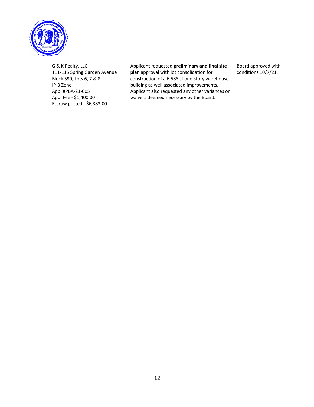

G & K Realty, LLC 111-115 Spring Garden Avenue Block 590, Lots 6, 7 & 8 IP-3 Zone App. #PBA-21-005 App. Fee - \$1,400.00 Escrow posted - \$6,383.00

### Applicant requested **preliminary and final site plan** approval with lot consolidation for construction of a 6,588 sf one-story warehouse building as well associated improvements. Applicant also requested any other variances or waivers deemed necessary by the Board.

Board approved with conditions 10/7/21.